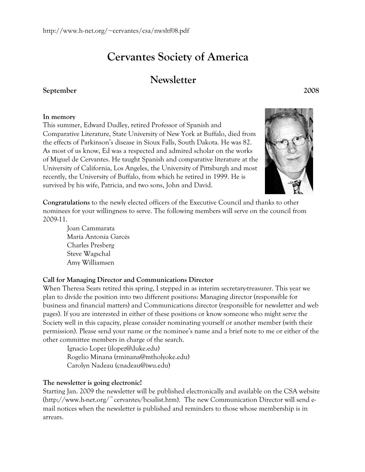# **Cervantes Society of America**

# **Newsletter**

# **September 2008**

# **In memory**

This summer, Edward Dudley, retired Professor of Spanish and Comparative Literature, State University of New York at Buffalo, died from the effects of Parkinson's disease in Sioux Falls, South Dakota. He was 82. As most of us know, Ed was a respected and admired scholar on the works of Miguel de Cervantes. He taught Spanish and comparative literature at the University of California, Los Angeles, the University of Pittsburgh and most recently, the University of Buffalo, from which he retired in 1999. He is survived by his wife, Patricia, and two sons, John and David.

**Congratulations** to the newly elected officers of the Executive Council and thanks to other nominees for your willingness to serve. The following members will serve on the council from 2009-11.

Joan Cammarata María Antonia Garcés Charles Presberg Steve Wagschal Amy Williamsen

# **Call for Managing Director and Communications Director**

When Theresa Sears retired this spring, I stepped in as interim secretary-treasurer. This year we plan to divide the position into two different positions: Managing director (responsible for business and financial matters) and Communications director (responsible for newsletter and web pages). If you are interested in either of these positions or know someone who might serve the Society well in this capacity, please consider nominating yourself or another member (with their permission). Please send your name or the nominee's name and a brief note to me or either of the other committee members in charge of the search.

Ignacio Lopez (ilopez@duke.edu) Rogelio Minana (rminana@mtholyoke.edu) Carolyn Nadeau (cnadeau@iwu.edu)

# **The newsletter is going electronic!**

Starting Jan. 2009 the newsletter will be published electronically and available on the CSA website  $(\text{http://www.h-net.org/~cervantes/bcsalist.htm}).$  The new Communication Director will send email notices when the newsletter is published and reminders to those whose membership is in arrears.

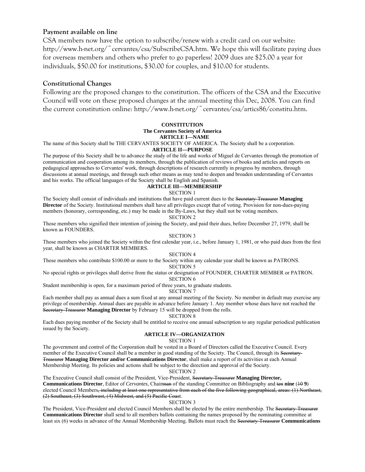# **Payment available on line**

CSA members now have the option to subscribe/renew with a credit card on our website: http://www.h-net.org/~cervantes/csa/SubscribeCSA.htm. We hope this will facilitate paying dues for overseas members and others who prefer to go paperless! 2009 dues are \$25.00 a year for individuals, \$50.00 for institutions, \$30.00 for couples, and \$10.00 for students.

# **Constitutional Changes**

Following are the proposed changes to the constitution. The officers of the CSA and the Executive Council will vote on these proposed changes at the annual meeting this Dec, 2008. You can find the current constitution online: http://www.h-net.org/ $\degree$ cervantes/csa/artics86/constitu.htm.

### **CONSTITUTION The Cervantes Society of America ARTICLE I—NAME**

The name of this Society shall be THE CERVANTES SOCIETY OF AMERICA. The Society shall be a corporation.

### **ARTICLE II—PURPOSE**

The purpose of this Society shall be to advance the study of the life and works of Miguel de Cervantes through the promotion of communication and cooperation among its members, through the publication of reviews of books and articles and reports on pedagogical approaches to Cervantes' work, through descriptions of research currently in progress by members, through discussions at annual meetings, and through such other means as may tend to deepen and broaden understanding of Cervantes and his works. The official languages of the Society shall be English and Spanish.

### **ARTICLE III—MEMBERSHIP**

SECTION 1

The Society shall consist of individuals and institutions that have paid current dues to the Secretary-Treasurer **Managing Director** of the Society. Institutional members shall have all privileges except that of voting. Provision for non-dues-paying members (honorary, corresponding, etc.) may be made in the By-Laws, but they shall not be voting members.

### SECTION 2

Those members who signified their intention of joining the Society, and paid their dues, before December 27, 1979, shall be known as FOUNDERS.

# SECTION 3 Those members who joined the Society within the first calendar year, i.e., before January 1, 1981, or who paid dues from the first

SECTION 4

Those members who contribute \$100.00 or more to the Society within any calendar year shall be known as PATRONS.

#### SECTION 5

No special rights or privileges shall derive from the status or designation of FOUNDER, CHARTER MEMBER or PATRON.

#### SECTION 6

Student membership is open, for a maximum period of three years, to graduate students.

year, shall be known as CHARTER MEMBERS.

## SECTION 7

Each member shall pay as annual dues a sum fixed at any annual meeting of the Society. No member in default may exercise any privilege of membership. Annual dues are payable in advance before January 1. Any member whose dues have not reached the Secretary-Treasurer **Managing Director** by February 15 will be dropped from the rolls.

#### SECTION 8

Each dues paying member of the Society shall be entitled to receive one annual subscription to any regular periodical publication issued by the Society.

# **ARTICLE IV—ORGANIZATION**

# SECTION 1

The government and control of the Corporation shall be vested in a Board of Directors called the Executive Council. Every member of the Executive Council shall be a member in good standing of the Society. The Council, through its Secretary-Treasurer **Managing Director and/or Communications Director**, shall make a report of its activities at each Annual Membership Meeting. Its policies and actions shall be subject to the direction and approval of the Society.

SECTION 2

The Executive Council shall consist of the President, Vice-President, Secretary-Treasurer **Managing Director, Communications Director**, Editor of *Cervantes*, Chairman of the standing Committee on Bibliography and ten **nine** (10 **9**) elected Council Members, including at least one representative from each of the five following geographical, areas: (1) Northeast, (2) Southeast, (3) Southwest, (4) Midwest, and (5) Pacific Coast.

### SECTION 3

The President, Vice-President and elected Council Members shall be elected by the entire membership. The Secretary-Treasurer **Communications Director** shall send to all members ballots containing the names proposed by the nominating committee at least six (6) weeks in advance of the Annual Membership Meeting. Ballots must reach the Secretary-Treasurer **Communications**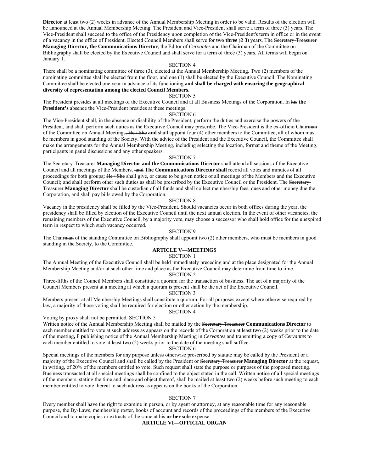**Director** at least two (2) weeks in advance of the Annual Membership Meeting in order to be valid. Results of the election will be announced at the Annual Membership Meeting. The President and Vice-President shall serve a term of three (3) years. The Vice-President shall succeed to the office of the Presidency upon completion of the Vice-President's term in office or in the event of a vacancy in the office of President. Elected Council Members shall serve for two **three** (2 **3**) years. The Secretary-Treasurer **Managing Director, the Communications Director**, the Editor of *Cervantes* and the Chairman of the Committee on Bibliography shall be elected by the Executive Council and shall serve for a term of three (3) years. All terms will begin on January 1.

#### SECTION 4

There shall be a nominating committee of three (3), elected at the Annual Membership Meeting. Two (2) members of the nominating committee shall be elected from the floor, and one (1) shall be elected by the Executive Council. The Nominating Committee shall be elected one year in advance of its functioning **and shall be charged with ensuring the geographical diversity of representation among the elected Council Members.**

#### SECTION 5

The President presides at all meetings of the Executive Council and at all Business Meetings of the Corporation. In his **the President's** absence the Vice-President presides at these meetings.

#### SECTION 6

The Vice-President shall, in the absence or disability of the President, perform the duties and exercise the powers of the President, and shall perform such duties as the Executive Council may prescribe. The Vice-President is the ex-officio Chairman of the Committee on Annual Meetings. He / She **and** shall appoint four (4) other members to the Committee, all of whom must be members in good standing of the Society. With the advice of the President and the Executive Council, the Committee shall make the arrangements for the Annual Membership Meeting, including selecting the location, format and theme of the Meeting, participants in panel discussions and any other speakers.

#### SECTION 7

The Secretary-Treasurer **Managing Director and the Communications Director** shall attend all sessions of the Executive Council and all meetings of the Members. and **The Communications Director shall** record all votes and minutes of all proceedings for both groups**;** He / She shall give, or cause to be given notice of all meetings of the Members and the Executive Council; and shall perform other such duties as shall be prescribed by the Executive Council or the President. The Secretary-Treasurer **Managing Director** shall be custodian of all funds and shall collect membership fees, dues and other money due the Corporation, and shall pay bills owed by the Corporation.

#### SECTION 8

Vacancy in the presidency shall be filled by the Vice-President. Should vacancies occur in both offices during the year, the presidency shall be filled by election of the Executive Council until the next annual election. In the event of other vacancies, the remaining members of the Executive Council, by a majority vote, may choose a successor who shall hold office for the unexpired term in respect to which such vacancy occurred.

#### SECTION 9

The Chairman of the standing Committee on Bibliography shall appoint two (2) other members, who must be members in good standing in the Society, to the Committee.

# **ARTICLE V—MEETINGS**

#### SECTION 1

The Annual Meeting of the Executive Council shall be held immediately preceding and at the place designated for the Annual Membership Meeting and/or at such other time and place as the Executive Council may determine from time to time.

### SECTION 2

Three-fifths of the Council Members shall constitute a quorum for the transaction of business. The act of a majority of the Council Members present at a meeting at which a quorum is present shall be the act of the Executive Council.

# SECTION 3

Members present at all Membership Meetings shall constitute a quorum. For all purposes except where otherwise required by law, a majority of those voting shall be required for election or other action by the membership.

#### SECTION 4

#### Voting by proxy shall not be permitted. SECTION 5

Written notice of the Annual Membership Meeting shall be mailed by the Secretary-Treasurer **Communications Director** to each member entitled to vote at such address as appears on the records of the Corporation at least two (2) weeks prior to the date of the meeting**,** P **p**ublishing notice of the Annual Membership Meeting in *Cervantes* and transmitting a copy of *Cervantes* to each member entitled to vote at least two (2) weeks prior to the date of the meeting shall suffice.

#### SECTION 6

Special meetings of the members for any purpose unless otherwise proscribed by statute may be called by the President or a majority of the Executive Council and shall be called by the President or Secretary-Treasurer **Managing Director** at the request, in writing, of 20% of the members entitled to vote. Such request shall state the purpose or purposes of the proposed meeting. Business transacted at all special meetings shall be confined to the object stated in the call. Written notice of all special meetings of the members, stating the time and place and object thereof, shall be mailed at least two (2) weeks before such meeting to each member entitled to vote thereat to such address as appears on the books of the Corporation.

#### SECTION 7

Every member shall have the right to examine in person, or by agent or attorney, at any reasonable time for any reasonable purpose, the By-Laws, membership roster, books of account and records of the proceedings of the members of the Executive Council and to make copies or extracts of the same at his **or her** sole expense.

## **ARTICLE VI—OFFICIAL ORGAN**